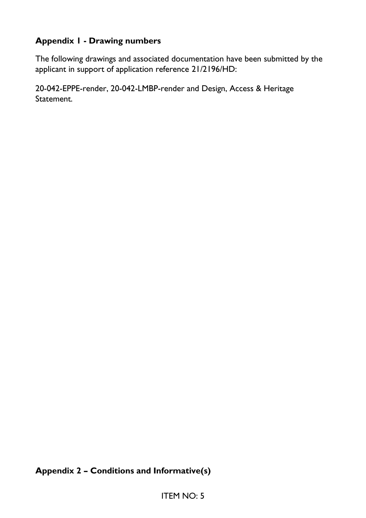# **Appendix 1 - Drawing numbers**

The following drawings and associated documentation have been submitted by the applicant in support of application reference 21/2196/HD:

20-042-EPPE-render, 20-042-LMBP-render and Design, Access & Heritage Statement.

# **Appendix 2 – Conditions and Informative(s)**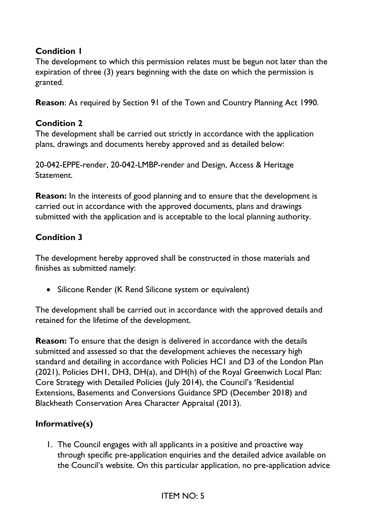## **Condition 1**

The development to which this permission relates must be begun not later than the expiration of three (3) years beginning with the date on which the permission is granted.

**Reason**: As required by Section 91 of the Town and Country Planning Act 1990.

### **Condition 2**

The development shall be carried out strictly in accordance with the application plans, drawings and documents hereby approved and as detailed below:

20-042-EPPE-render, 20-042-LMBP-render and Design, Access & Heritage Statement.

**Reason:** In the interests of good planning and to ensure that the development is carried out in accordance with the approved documents, plans and drawings submitted with the application and is acceptable to the local planning authority.

## **Condition 3**

The development hereby approved shall be constructed in those materials and finishes as submitted namely:

• Silicone Render (K Rend Silicone system or equivalent)

The development shall be carried out in accordance with the approved details and retained for the lifetime of the development.

**Reason:** To ensure that the design is delivered in accordance with the details submitted and assessed so that the development achieves the necessary high standard and detailing in accordance with Policies HC1 and D3 of the London Plan (2021), Policies DH1, DH3, DH(a), and DH(h) of the Royal Greenwich Local Plan: Core Strategy with Detailed Policies (July 2014), the Council's 'Residential Extensions, Basements and Conversions Guidance SPD (December 2018) and Blackheath Conservation Area Character Appraisal (2013).

### **Informative(s)**

1. The Council engages with all applicants in a positive and proactive way through specific pre-application enquiries and the detailed advice available on the Council's website. On this particular application, no pre-application advice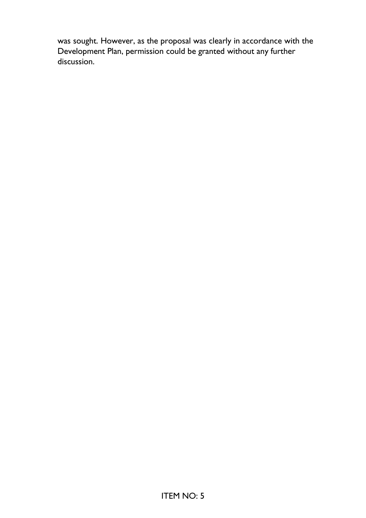was sought. However, as the proposal was clearly in accordance with the Development Plan, permission could be granted without any further discussion.